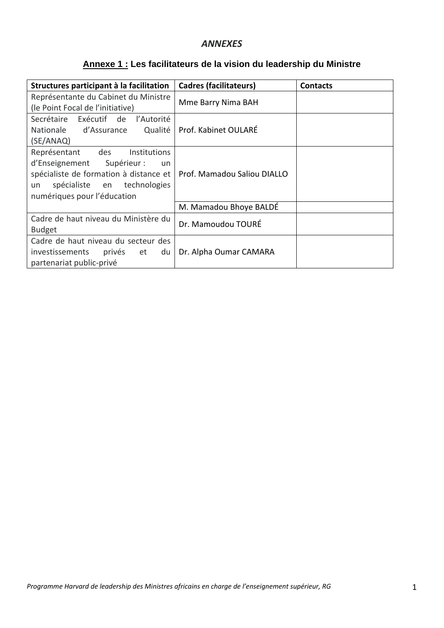## *ANNEXES*

# **Annexe 1 : Les facilitateurs de la vision du leadership du Ministre**

| Structures participant à la facilitation                                                                                                                                           | <b>Cadres (facilitateurs)</b> | <b>Contacts</b> |
|------------------------------------------------------------------------------------------------------------------------------------------------------------------------------------|-------------------------------|-----------------|
| Représentante du Cabinet du Ministre<br>(le Point Focal de l'initiative)                                                                                                           | Mme Barry Nima BAH            |                 |
| Secrétaire<br>Exécutif de l'Autorité<br>Nationale d'Assurance Qualité<br>(SE/ANAQ)                                                                                                 | Prof. Kabinet OULARÉ          |                 |
| Représentant des<br>Institutions<br>d'Enseignement Supérieur :<br>un<br>spécialiste de formation à distance et<br>spécialiste en technologies<br>un<br>numériques pour l'éducation | Prof. Mamadou Saliou DIALLO   |                 |
|                                                                                                                                                                                    | M. Mamadou Bhoye BALDÉ        |                 |
| Cadre de haut niveau du Ministère du<br><b>Budget</b>                                                                                                                              | Dr. Mamoudou TOURÉ            |                 |
| Cadre de haut niveau du secteur des<br>investissements<br>privés et<br>du<br>partenariat public-privé                                                                              | Dr. Alpha Oumar CAMARA        |                 |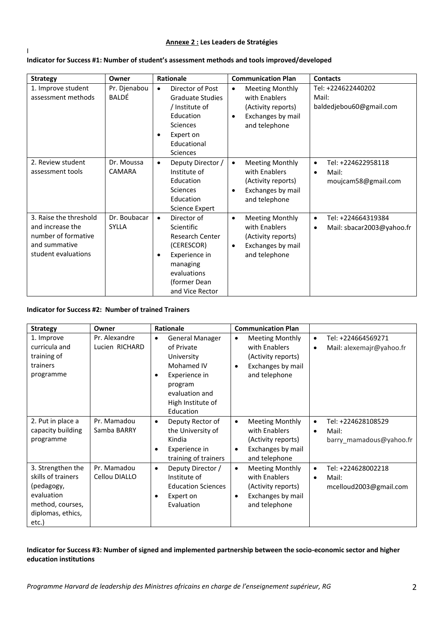### **Annexe 2 : Les Leaders de Stratégies**

#### **Indicator for Success #1: Number of student's assessment methods and tools improved/developed**

| <b>Strategy</b>                                                                                           | Owner                        | <b>Rationale</b>                                                                                                                                                           | <b>Communication Plan</b>                                                                                                     | <b>Contacts</b>                                                              |
|-----------------------------------------------------------------------------------------------------------|------------------------------|----------------------------------------------------------------------------------------------------------------------------------------------------------------------------|-------------------------------------------------------------------------------------------------------------------------------|------------------------------------------------------------------------------|
| 1. Improve student<br>assessment methods                                                                  | Pr. Djenabou<br>BALDÉ        | Director of Post<br>$\bullet$<br><b>Graduate Studies</b><br>/ Institute of<br>Education<br><b>Sciences</b><br>Expert on<br>$\bullet$<br>Educational<br><b>Sciences</b>     | <b>Meeting Monthly</b><br>$\bullet$<br>with Enablers<br>(Activity reports)<br>Exchanges by mail<br>$\bullet$<br>and telephone | Tel: +224622440202<br>Mail:<br>baldedjebou60@gmail.com                       |
| 2. Review student<br>assessment tools                                                                     | Dr. Moussa<br>CAMARA         | Deputy Director /<br>$\bullet$<br>Institute of<br>Education<br><b>Sciences</b><br>Education<br><b>Science Expert</b>                                                       | <b>Meeting Monthly</b><br>$\bullet$<br>with Enablers<br>(Activity reports)<br>Exchanges by mail<br>$\bullet$<br>and telephone | Tel: +224622958118<br>$\bullet$<br>Mail:<br>$\bullet$<br>moujcam58@gmail.com |
| 3. Raise the threshold<br>and increase the<br>number of formative<br>and summative<br>student evaluations | Dr. Boubacar<br><b>SYLLA</b> | Director of<br>$\bullet$<br>Scientific<br><b>Research Center</b><br>(CERESCOR)<br>Experience in<br>$\bullet$<br>managing<br>evaluations<br>(former Dean<br>and Vice Rector | <b>Meeting Monthly</b><br>٠<br>with Enablers<br>(Activity reports)<br>Exchanges by mail<br>$\bullet$<br>and telephone         | Tel: +224664319384<br>$\bullet$<br>Mail: sbacar2003@yahoo.fr<br>$\bullet$    |

#### **Indicator for Success #2: Number of trained Trainers**

I

| <b>Strategy</b>                                                                                                       | Owner                           | <b>Rationale</b>                                                                                                                                              | <b>Communication Plan</b>                                                                                                     |                                                                                  |
|-----------------------------------------------------------------------------------------------------------------------|---------------------------------|---------------------------------------------------------------------------------------------------------------------------------------------------------------|-------------------------------------------------------------------------------------------------------------------------------|----------------------------------------------------------------------------------|
| 1. Improve<br>curricula and<br>training of<br>trainers<br>programme                                                   | Pr. Alexandre<br>Lucien RICHARD | <b>General Manager</b><br>$\bullet$<br>of Private<br>University<br>Mohamed IV<br>Experience in<br>program<br>evaluation and<br>High Institute of<br>Education | <b>Meeting Monthly</b><br>$\bullet$<br>with Enablers<br>(Activity reports)<br>Exchanges by mail<br>$\bullet$<br>and telephone | Tel: +224664569271<br>$\bullet$<br>Mail: alexemajr@yahoo.fr<br>$\bullet$         |
| 2. Put in place a<br>capacity building<br>programme                                                                   | Pr. Mamadou<br>Samba BARRY      | Deputy Rector of<br>$\bullet$<br>the University of<br>Kindia<br>Experience in<br>$\bullet$<br>training of trainers                                            | <b>Meeting Monthly</b><br>$\bullet$<br>with Enablers<br>(Activity reports)<br>Exchanges by mail<br>$\bullet$<br>and telephone | Tel: +224628108529<br>$\bullet$<br>Mail:<br>$\bullet$<br>barry mamadous@yahoo.fr |
| 3. Strengthen the<br>skills of trainers<br>(pedagogy,<br>evaluation<br>method, courses,<br>diplomas, ethics,<br>etc.) | Pr. Mamadou<br>Cellou DIALLO    | Deputy Director /<br>$\bullet$<br>Institute of<br><b>Education Sciences</b><br>Expert on<br>Evaluation                                                        | <b>Meeting Monthly</b><br>$\bullet$<br>with Enablers<br>(Activity reports)<br>Exchanges by mail<br>٠<br>and telephone         | Tel: +224628002218<br>$\bullet$<br>Mail:<br>$\bullet$<br>mcelloud2003@gmail.com  |

#### **Indicator for Success #3: Number of signed and implemented partnership between the socio-economic sector and higher education institutions**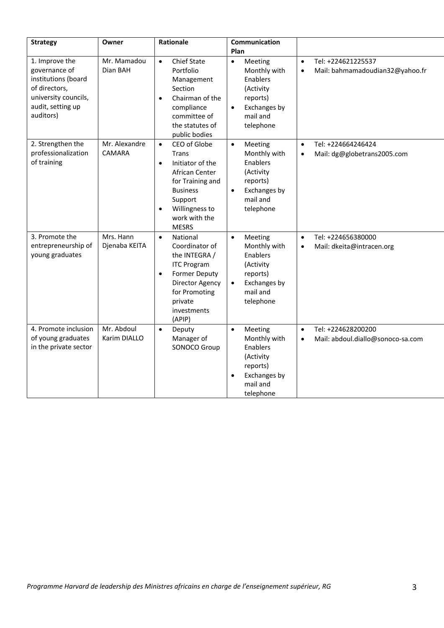| <b>Strategy</b>                                                                                                                   | Owner                          | Rationale                                                                                                                                                                                                      | Communication<br>Plan                                                                                                           |                                                                                   |
|-----------------------------------------------------------------------------------------------------------------------------------|--------------------------------|----------------------------------------------------------------------------------------------------------------------------------------------------------------------------------------------------------------|---------------------------------------------------------------------------------------------------------------------------------|-----------------------------------------------------------------------------------|
| 1. Improve the<br>governance of<br>institutions (board<br>of directors,<br>university councils,<br>audit, setting up<br>auditors) | Mr. Mamadou<br>Dian BAH        | <b>Chief State</b><br>$\bullet$<br>Portfolio<br>Management<br>Section<br>Chairman of the<br>$\bullet$<br>compliance<br>committee of<br>the statutes of<br>public bodies                                        | Meeting<br>$\bullet$<br>Monthly with<br>Enablers<br>(Activity<br>reports)<br>Exchanges by<br>$\bullet$<br>mail and<br>telephone | Tel: +224621225537<br>$\bullet$<br>Mail: bahmamadoudian32@yahoo.fr<br>$\bullet$   |
| 2. Strengthen the<br>professionalization<br>of training                                                                           | Mr. Alexandre<br><b>CAMARA</b> | CEO of Globe<br>$\bullet$<br><b>Trans</b><br>Initiator of the<br>$\bullet$<br>African Center<br>for Training and<br><b>Business</b><br>Support<br>Willingness to<br>$\bullet$<br>work with the<br><b>MESRS</b> | Meeting<br>$\bullet$<br>Monthly with<br>Enablers<br>(Activity<br>reports)<br>Exchanges by<br>$\bullet$<br>mail and<br>telephone | Tel: +224664246424<br>$\bullet$<br>Mail: dg@globetrans2005.com<br>$\bullet$       |
| 3. Promote the<br>entrepreneurship of<br>young graduates                                                                          | Mrs. Hann<br>Djenaba KEITA     | National<br>$\bullet$<br>Coordinator of<br>the INTEGRA /<br><b>ITC Program</b><br><b>Former Deputy</b><br>$\bullet$<br>Director Agency<br>for Promoting<br>private<br>investments<br>(APIP)                    | Meeting<br>$\bullet$<br>Monthly with<br>Enablers<br>(Activity<br>reports)<br>Exchanges by<br>$\bullet$<br>mail and<br>telephone | Tel: +224656380000<br>$\bullet$<br>Mail: dkeita@intracen.org<br>$\bullet$         |
| 4. Promote inclusion<br>of young graduates<br>in the private sector                                                               | Mr. Abdoul<br>Karim DIALLO     | Deputy<br>$\bullet$<br>Manager of<br>SONOCO Group                                                                                                                                                              | Meeting<br>$\bullet$<br>Monthly with<br>Enablers<br>(Activity<br>reports)<br>Exchanges by<br>$\bullet$<br>mail and<br>telephone | Tel: +224628200200<br>$\bullet$<br>Mail: abdoul.diallo@sonoco-sa.com<br>$\bullet$ |